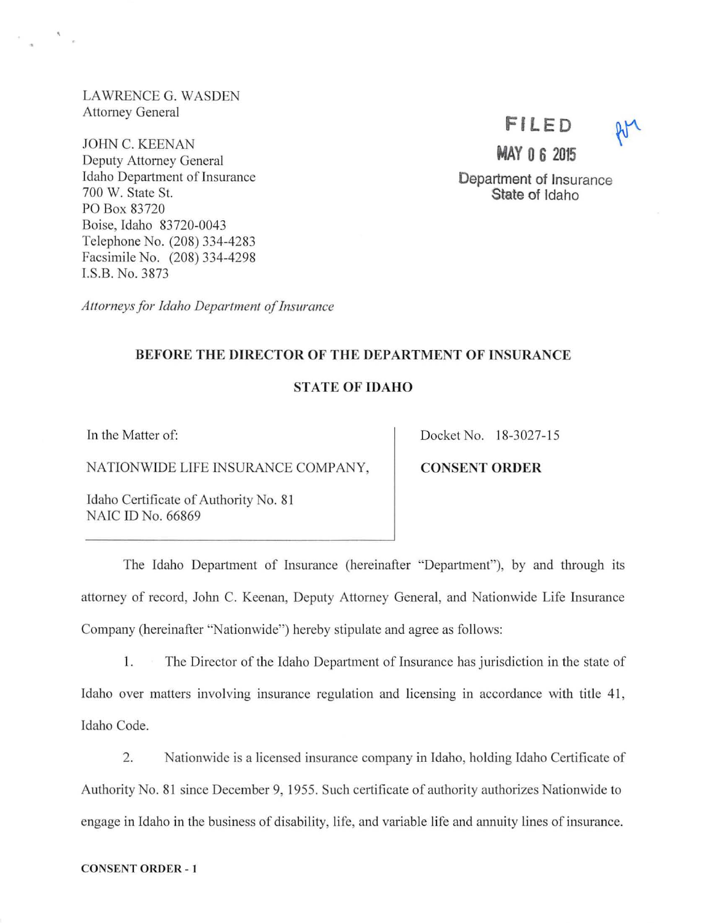LAWRENCE G. WASDEN Attorney General

JOHN C. KEENAN Deputy Attorney General Idaho Department of Insurance 700 W. State St. PO Box 83720 Boise, Idaho 83720-0043 Telephone No. (208) 334-4283 Facsimile No. (208) 334-4298 l.S.B. No. 3873

*Allorneys for Idaho Department of Insurance* 

# **FILED**

**MAY 0 6 2015** 

Department of Insurance State of Idaho

#### BEFORE THE DIRECTOR OF THE DEPARTMENT OF INSURANCE

## STATE OF IDAHO

In the Matter of:

NATIONWIDE LIFE INSURANCE COMPANY,

Idaho Certificate of Authority No. 81 NAIC ID No. 66869

Docket No. 18-3027-15

CONSENT ORDER

The Idaho Department of Insurance (hereinafter "Department"), by and through its attorney of record, John C. Keenan, Deputy Attorney General, and Nationwide Life Insurance Company (hereinafter "Nationwide") hereby stipulate and agree as follows:

1. The Director of the Idaho Department of Insurance has jurisdiction in the state of Idaho over matters involving insurance regulation and licensing in accordance with title 41, Idaho Code.

2. Nationwide is a licensed insurance company in Idaho, holding Idaho Certificate of Authority No. 81 since December 9, 1955. Such certificate of authority authorizes Nationwide to engage in Idaho in the business of disability, life, and variable life and annuity lines of insurance.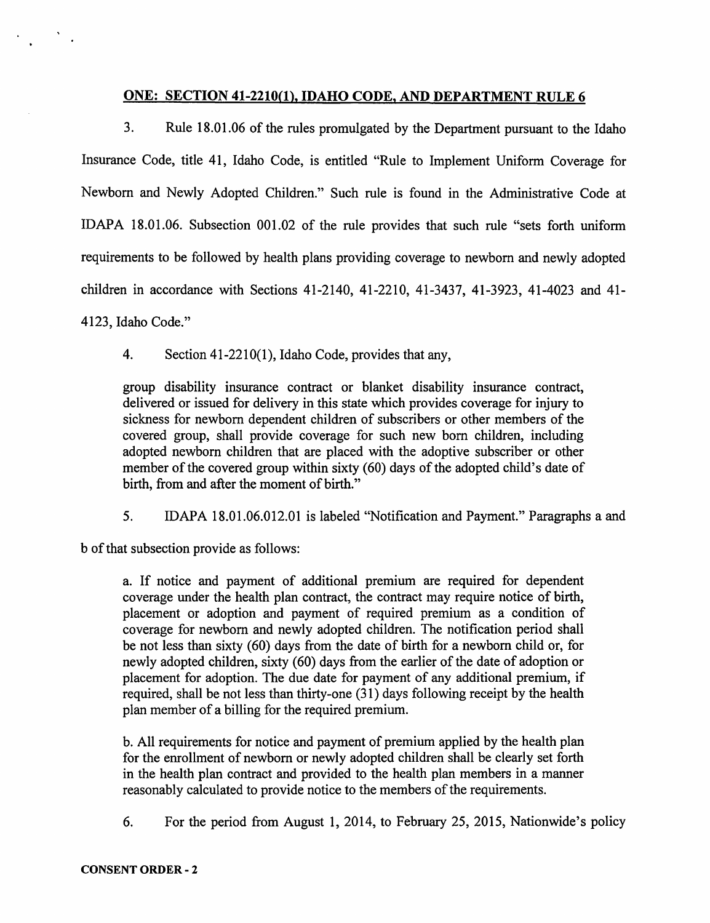## ONE: SECTION 41-2210(1), IDAHO CODE, AND DEPARTMENT RULE 6

3. Rule 18.01.06 of the rules promulgated by the Department pursuant to the Idaho Insurance Code, title 41, Idaho Code, is entitled "Rule to Implement Uniform Coverage for Newborn and Newly Adopted Children." Such rule is found in the Administrative Code at IDAPA 18.01.06. Subsection 001.02 of the rule provides that such rule "sets forth uniform requirements to be followed by health plans providing coverage to newborn and newly adopted children in accordance with Sections 41-2140, 41-2210, 41-3437, 41-3923, 41-4023 and 41- 4123, Idaho Code."

4. Section 41-2210(1), Idaho Code, provides that any,

group disability insurance contract or blanket disability insurance contract, delivered or issued for delivery in this state which provides coverage for injury to sickness for newborn dependent children of subscribers or other members of the covered group, shall provide coverage for such new born children, including adopted newborn children that are placed with the adoptive subscriber or other member of the covered group within sixty (60) days of the adopted child's date of birth, from and after the moment of birth."

5. IDAPA 18.01.06.012.01 is labeled "Notification and Payment." Paragraphs a and

b of that subsection provide as follows:

a. If notice and payment of additional premium are required for dependent coverage under the health plan contract, the contract may require notice of birth, placement or adoption and payment of required premium as a condition of coverage for newborn and newly adopted children. The notification period shall be not less than sixty (60) days from the date of birth for a newborn child or, for newly adopted children, sixty (60) days from the earlier of the date of adoption or placement for adoption. The due date for payment of any additional premium, if required, shall be not less than thirty-one  $(31)$  days following receipt by the health plan member of a billing for the required premium.

b. All requirements for notice and payment of premium applied by the health plan for the enrollment of newborn or newly adopted children shall be clearly set forth in the health plan contract and provided to the health plan members in a manner reasonably calculated to provide notice to the members of the requirements.

6. For the period from August 1, 2014, to February 25, 2015, Nationwide's policy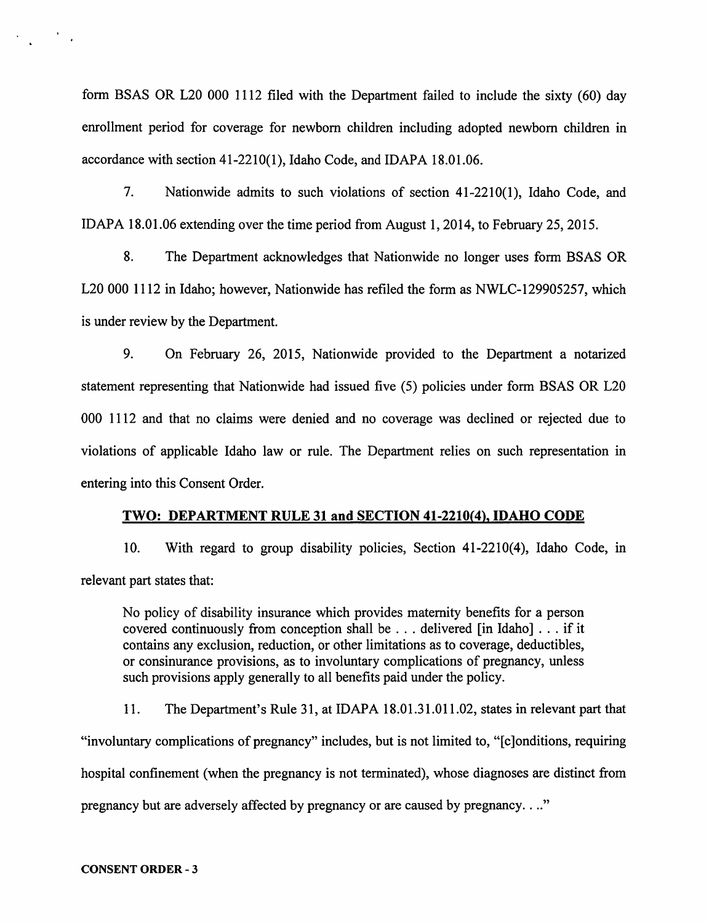form BSAS OR L20 000 1112 filed with the Department failed to include the sixty (60) day enrollment period for coverage for newborn children including adopted newborn children in accordance with section 41-2210(1), Idaho Code, and IDAPA 18.01.06.

7. Nationwide admits to such violations of section 41-2210(1), Idaho Code, and IDAPA 18.01.06 extending over the time period from August 1, 2014, to February 25, 2015.

8. The Department acknowledges that Nationwide no longer uses form BSAS OR L20 000 1112 in Idaho; however, Nationwide has refiled the form as NWLC-129905257, which is under review by the Department.

9. On February 26, 2015, Nationwide provided to the Department a notarized statement representing that Nationwide had issued five (5) policies under form BSAS OR L20 000 1112 and that no claims were denied and no coverage was declined or rejected due to violations of applicable Idaho law or rule. The Department relies on such representation in entering into this Consent Order.

#### TWO: DEPARTMENT RULE 31 and SECTION 41-2210(4), IDAHO CODE

10. With regard to group disability policies, Section 41-2210(4), Idaho Code, in relevant part states that:

No policy of disability insurance which provides maternity benefits for a person covered continuously from conception shall be . . . delivered [in Idaho] . . . if it contains any exclusion, reduction, or other limitations as to coverage, deductibles, or consinurance provisions, as to involuntary complications of pregnancy, unless such provisions apply generally to all benefits paid under the policy.

11. The Department's Rule 31, at IDAPA 18.01.31.011.02, states in relevant part that "involuntary complications of pregnancy" includes, but is not limited to, "[ c ]onditions, requiring hospital confinement (when the pregnancy is not terminated), whose diagnoses are distinct from pregnancy but are adversely affected by pregnancy or are caused by pregnancy .... "

CONSENT ORDER - 3

 $\mathcal{L}_{\text{max}} = \mathcal{L}_{\text{max}}$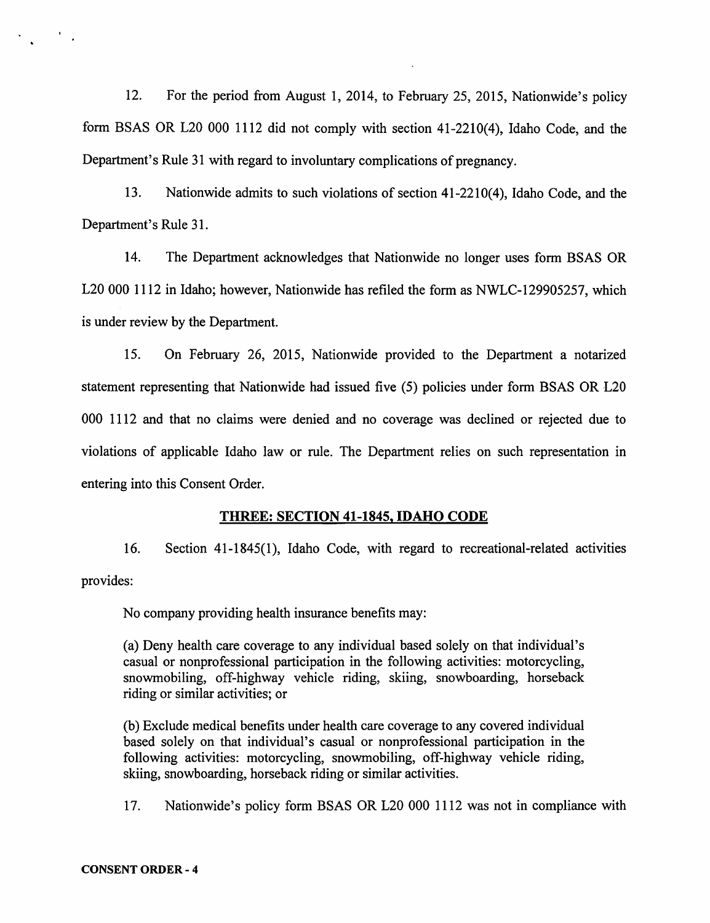12. For the period from August 1, 2014, to February 25, 2015, Nationwide's policy form BSAS OR L20 000 1112 did not comply with section 41-2210(4), Idaho Code, and the Department's Rule 31 with regard to involuntary complications of pregnancy.

13. Nationwide admits to such violations of section 41-2210(4), Idaho Code, and the Department's Rule 31.

14. The Department acknowledges that Nationwide no longer uses form BSAS OR L20 000 1112 in Idaho; however, Nationwide has refiled the form as NWLC-129905257, which is under review by the Department.

15. On February 26, 2015, Nationwide provided to the Department a notarized statement representing that Nationwide had issued five (5) policies under form BSAS OR L20 000 1112 and that no claims were denied and no coverage was declined or rejected due to violations of applicable Idaho law or rule. The Department relies on such representation in entering into this Consent Order.

#### THREE: SECTION 41-1845, IDAHO CODE

16. Section 41-1845(1 ), Idaho Code, with regard to recreational-related activities provides:

No company providing health insurance benefits may:

(a) Deny health care coverage to any individual based solely on that individual's casual or nonprofessional participation in the following activities: motorcycling, snowmobiling, off-highway vehicle riding, skiing, snowboarding, horseback riding or similar activities; or

(b) Exclude medical benefits under health care coverage to any covered individual based solely on that individual's casual or nonprofessional participation in the following activities: motorcycling, snowmobiling, off-highway vehicle riding, skiing, snowboarding, horseback riding or similar activities.

17. Nationwide's policy form BSAS OR L20 000 1112 was not in compliance with

 $\mathcal{L}^{\text{max}}$  .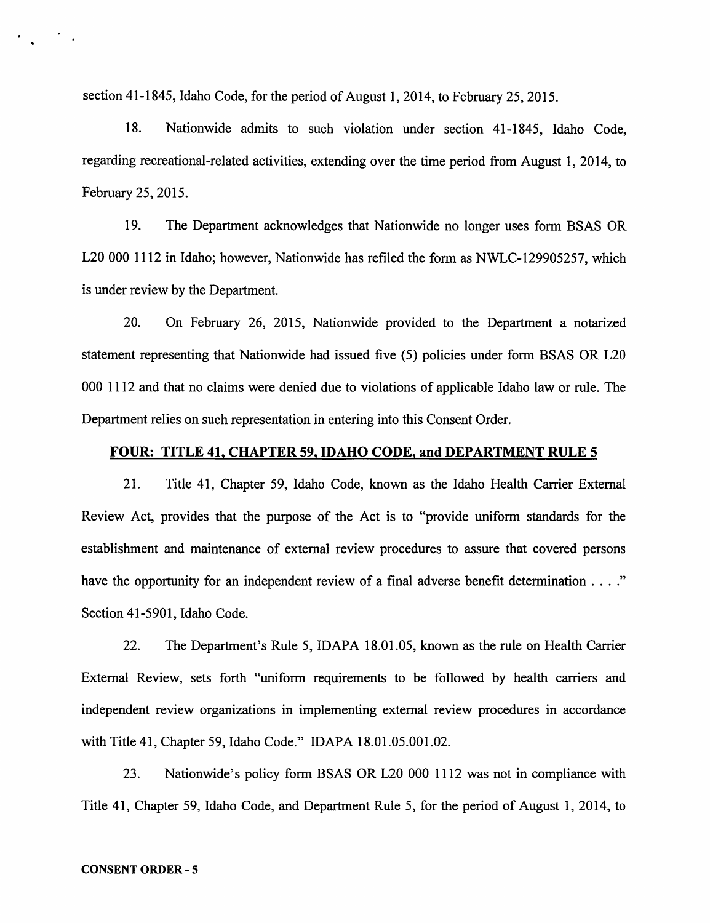section 41-1845, Idaho Code, for the period of August 1, 2014, to February 25, 2015.

18. Nationwide admits to such violation under section 41-1845, Idaho Code, regarding recreational-related activities, extending over the time period from August 1, 2014, to February 25, 2015.

19. The Department acknowledges that Nationwide no longer uses form BSAS OR L20 000 1112 in Idaho; however, Nationwide has refiled the form as NWLC-129905257, which is under review by the Department.

20. On February 26, 2015, Nationwide provided to the Department a notarized statement representing that Nationwide had issued five (5) policies under form BSAS OR L20 000 1112 and that no claims were denied due to violations of applicable Idaho law or rule. The Department relies on such representation in entering into this Consent Order.

#### FOUR: TITLE 41, CHAPTER 59, IDAHO CODE, and DEPARTMENT RULE 5

21. Title 41, Chapter 59, Idaho Code, known as the Idaho Health Carrier External Review Act, provides that the purpose of the Act is to "provide uniform standards for the establishment and maintenance of external review procedures to assure that covered persons have the opportunity for an independent review of a final adverse benefit determination . . . ." Section 41-5901, Idaho Code.

22. The Department's Rule 5, IDAPA 18.01.05, known as the rule on Health Carrier External Review, sets forth "uniform requirements to be followed by health carriers and independent review organizations in implementing external review procedures in accordance with Title 41, Chapter 59, Idaho Code." IDAPA 18.01.05.001.02.

23. Nationwide's policy form BSAS OR L20 000 1112 was not in compliance with Title 41, Chapter 59, Idaho Code, and Department Rule 5, for the period of August 1, 2014, to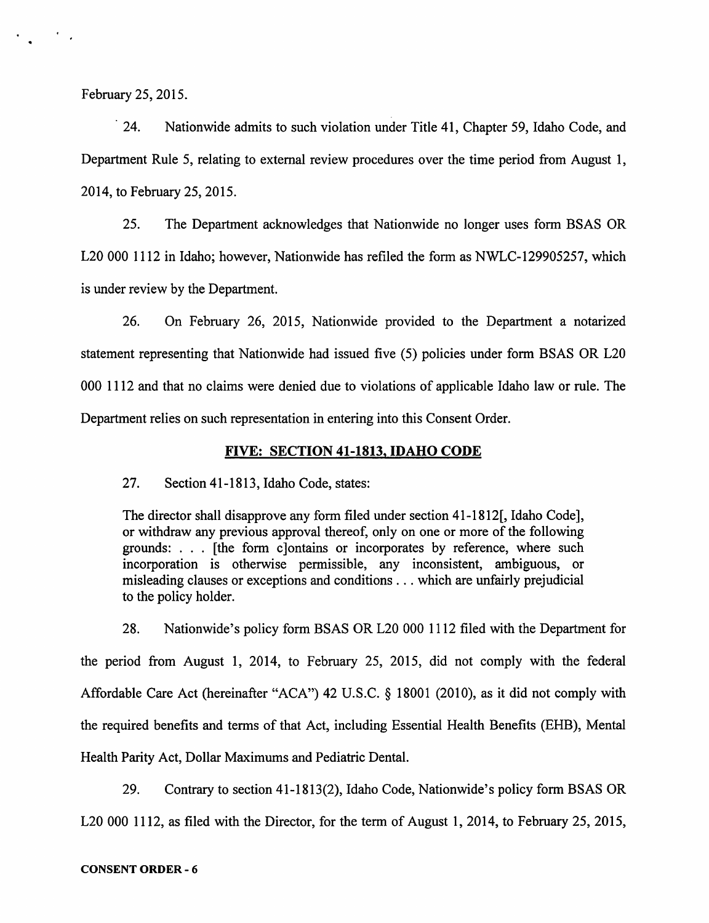February 25, 2015.

 $\mathcal{L}^{\text{max}}$  ,  $\mathcal{L}^{\text{max}}$ 

24. Nationwide admits to such violation under Title 41, Chapter 59, Idaho Code, and Department Rule 5, relating to external review procedures over the time period from August 1, 2014, to February 25, 2015.

25. The Department acknowledges that Nationwide no longer uses form BSAS OR L20 000 1112 in Idaho; however, Nationwide has refiled the form as NWLC-129905257, which is under review by the Department.

26. On February 26, 2015, Nationwide provided to the Department a notarized statement representing that Nationwide had issued five (5) policies under form BSAS OR L20 000 1112 and that no claims were denied due to violations of applicable Idaho law or rule. The Department relies on such representation in entering into this Consent Order.

#### FIVE: SECTION 41-1813, IDAHO CODE

27. Section 41-1813, Idaho Code, states:

The director shall disapprove any form filed under section 41-1812[, Idaho Code], or withdraw any previous approval thereof, only on one or more of the following grounds: . . . [the form clontains or incorporates by reference, where such incorporation is otherwise permissible, any inconsistent, ambiguous, or misleading clauses or exceptions and conditions ... which are unfairly prejudicial to the policy holder.

28. Nationwide's policy form BSAS OR L20 000 1112 filed with the Department for the period from August 1, 2014, to February 25, 2015, did not comply with the federal Affordable Care Act (hereinafter "ACA") 42 U.S.C. § 18001 (2010), as it did not comply with the required benefits and terms of that Act, including Essential Health Benefits (EHB), Mental Health Parity Act, Dollar Maximums and Pediatric Dental.

29. Contrary to section 41-1813(2), Idaho Code, Nationwide's policy form BSAS OR L20 000 1112, as filed with the Director, for the term of August 1, 2014, to February 25, 2015,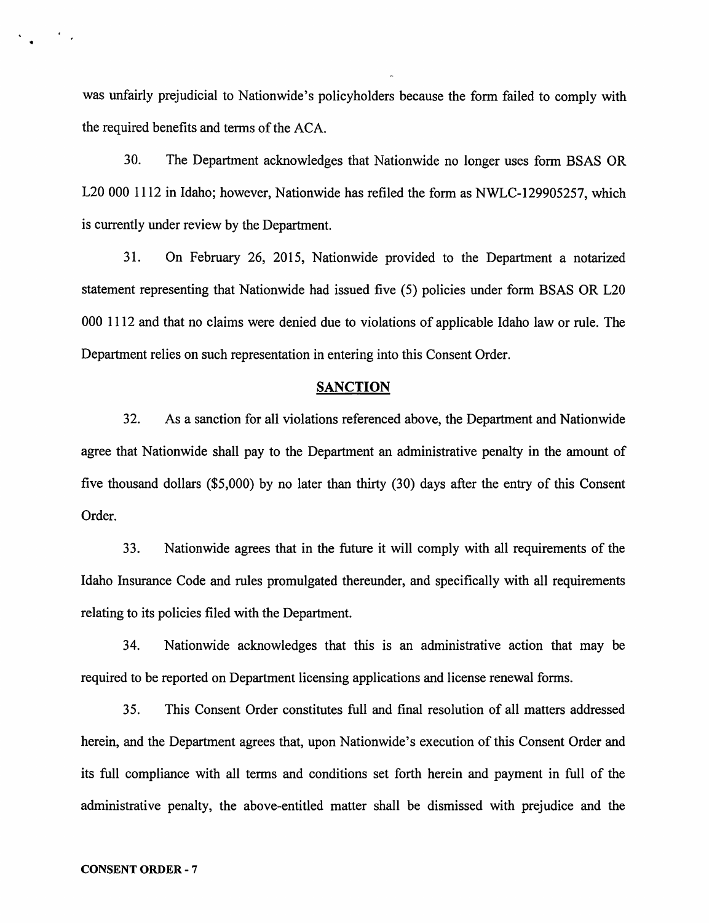was unfairly prejudicial to Nationwide's policyholders because the form failed to comply with the required benefits and terms of the ACA.

30. The Department acknowledges that Nationwide no longer uses form BSAS OR L20 000 1112 in Idaho; however, Nationwide has refiled the form as NWLC-129905257, which is currently under review by the Department.

31. On February 26, 2015, Nationwide provided to the Department a notarized statement representing that Nationwide had issued five (5) policies under form BSAS OR L20 000 1112 and that no claims were denied due to violations of applicable Idaho law or rule. The Department relies on such representation in entering into this Consent Order.

#### SANCTION

32. As a sanction for all violations referenced above, the Department and Nationwide agree that Nationwide shall pay to the Department an administrative penalty in the amount of five thousand dollars (\$5,000) by no later than thirty (30) days after the entry of this Consent Order.

33. Nationwide agrees that in the future it will comply with all requirements of the Idaho Insurance Code and rules promulgated thereunder, and specifically with all requirements relating to its policies filed with the Department.

34. Nationwide acknowledges that this is an administrative action that may be required to be reported on Department licensing applications and license renewal forms.

35. This Consent Order constitutes full and final resolution of all matters addressed herein, and the Department agrees that, upon Nationwide's execution of this Consent Order and its full compliance with all terms and conditions set forth herein and payment in full of the administrative penalty, the above-entitled matter shall be dismissed with prejudice and the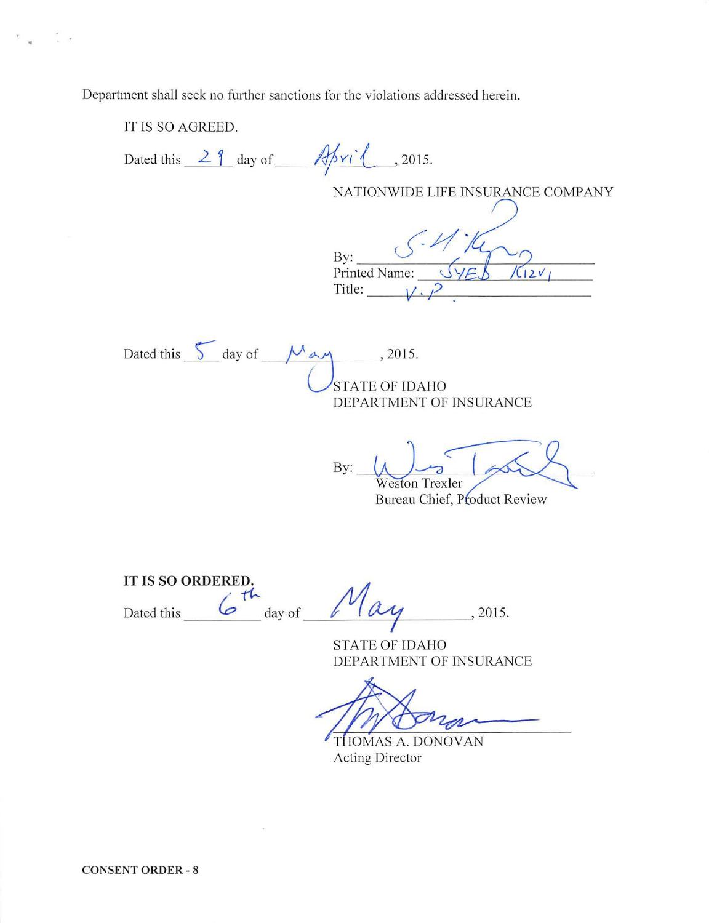Department shall seek no further sanctions for the violations addressed herein.

IT IS SO AGREED. Dated this  $\frac{29}{1}$  day of  $\frac{7}{1}$ , 2015. NATIONWIDE LIFE INSURANCE COMPANY By:  $\frac{1}{\sqrt{2}}$ Printed Name:  $\frac{\langle \sqrt{2\epsilon} \delta \rangle}{\langle 12 \gamma \rangle}$ Title: Dated this  $5$  day of  $M$  ay , 2015. STATE OF IDAHO DEPARTMENT OF INSURANCE  $By:$ Weston Trexler Bureau Chief, Product Review IT IS SO **ORDERED.**   $\cdot$   $\cdot$   $\mu$ Dated this  $\frac{6}{\omega}$  day of  $\frac{1}{\omega}$   $\alpha y$ , 2015. STATE OF IDAHO DEPARTMENT OF INSURANCE THOMAS A. DONOVAN

. .